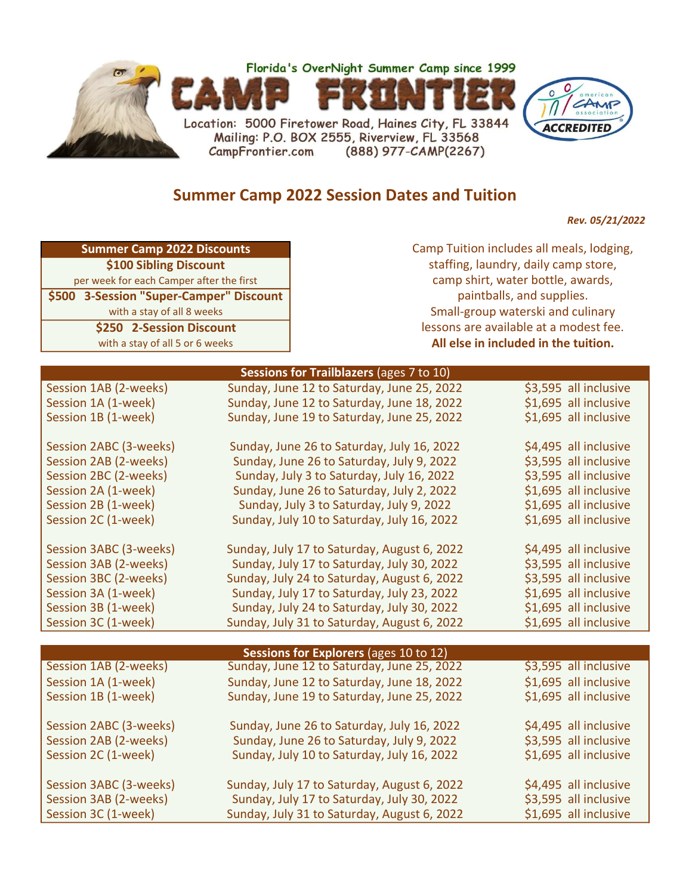

## Summer Camp 2022 Session Dates and Tuition

Rev. 05/21/2022

|  | Summer Camp 2022 Discounts |
|--|----------------------------|
|--|----------------------------|

\$100 Sibling Discount per week for each Camper after the first \$500 3-Session "Super-Camper" Discount

\$250 2-Session Discount with a stay of all 8 weeks

with a stay of all 5 or 6 weeks

Camp Tuition includes all meals, lodging, staffing, laundry, daily camp store, paintballs, and supplies. Small-group waterski and culinary lessons are available at a modest fee. All else in included in the tuition. camp shirt, water bottle, awards,

|                        | Sessions for Trailblazers (ages 7 to 10)    |                       |  |  |
|------------------------|---------------------------------------------|-----------------------|--|--|
| Session 1AB (2-weeks)  | Sunday, June 12 to Saturday, June 25, 2022  | \$3,595 all inclusive |  |  |
| Session 1A (1-week)    | Sunday, June 12 to Saturday, June 18, 2022  | \$1,695 all inclusive |  |  |
| Session 1B (1-week)    | Sunday, June 19 to Saturday, June 25, 2022  | \$1,695 all inclusive |  |  |
|                        |                                             |                       |  |  |
| Session 2ABC (3-weeks) | Sunday, June 26 to Saturday, July 16, 2022  | \$4,495 all inclusive |  |  |
| Session 2AB (2-weeks)  | Sunday, June 26 to Saturday, July 9, 2022   | \$3,595 all inclusive |  |  |
| Session 2BC (2-weeks)  | Sunday, July 3 to Saturday, July 16, 2022   | \$3,595 all inclusive |  |  |
| Session 2A (1-week)    | Sunday, June 26 to Saturday, July 2, 2022   | \$1,695 all inclusive |  |  |
| Session 2B (1-week)    | Sunday, July 3 to Saturday, July 9, 2022    | \$1,695 all inclusive |  |  |
| Session 2C (1-week)    | Sunday, July 10 to Saturday, July 16, 2022  | \$1,695 all inclusive |  |  |
|                        |                                             |                       |  |  |
| Session 3ABC (3-weeks) | Sunday, July 17 to Saturday, August 6, 2022 | \$4,495 all inclusive |  |  |
| Session 3AB (2-weeks)  | Sunday, July 17 to Saturday, July 30, 2022  | \$3,595 all inclusive |  |  |
| Session 3BC (2-weeks)  | Sunday, July 24 to Saturday, August 6, 2022 | \$3,595 all inclusive |  |  |
| Session 3A (1-week)    | Sunday, July 17 to Saturday, July 23, 2022  | \$1,695 all inclusive |  |  |
| Session 3B (1-week)    | Sunday, July 24 to Saturday, July 30, 2022  | \$1,695 all inclusive |  |  |
| Session 3C (1-week)    | Sunday, July 31 to Saturday, August 6, 2022 | \$1,695 all inclusive |  |  |
|                        |                                             |                       |  |  |
|                        | Sessions for Explorers (ages 10 to 12)      |                       |  |  |
| Session 1AB (2-weeks)  | Sunday, June 12 to Saturday, June 25, 2022  | \$3,595 all inclusive |  |  |
| Session 1A (1-week)    | Sunday, June 12 to Saturday, June 18, 2022  | \$1,695 all inclusive |  |  |
| Session 1B (1-week)    | Sunday, June 19 to Saturday, June 25, 2022  | \$1,695 all inclusive |  |  |
|                        |                                             |                       |  |  |
| Session 2ABC (3-weeks) | Sunday, June 26 to Saturday, July 16, 2022  | \$4,495 all inclusive |  |  |
| Session 2AB (2-weeks)  | Sunday, June 26 to Saturday, July 9, 2022   | \$3,595 all inclusive |  |  |
| Session 2C (1-week)    | Sunday, July 10 to Saturday, July 16, 2022  | \$1,695 all inclusive |  |  |
|                        |                                             |                       |  |  |
| Session 3ABC (3-weeks) | Sunday, July 17 to Saturday, August 6, 2022 | \$4,495 all inclusive |  |  |
| Session 3AB (2-weeks)  | Sunday, July 17 to Saturday, July 30, 2022  | \$3,595 all inclusive |  |  |
| Session 3C (1-week)    | Sunday, July 31 to Saturday, August 6, 2022 | \$1,695 all inclusive |  |  |